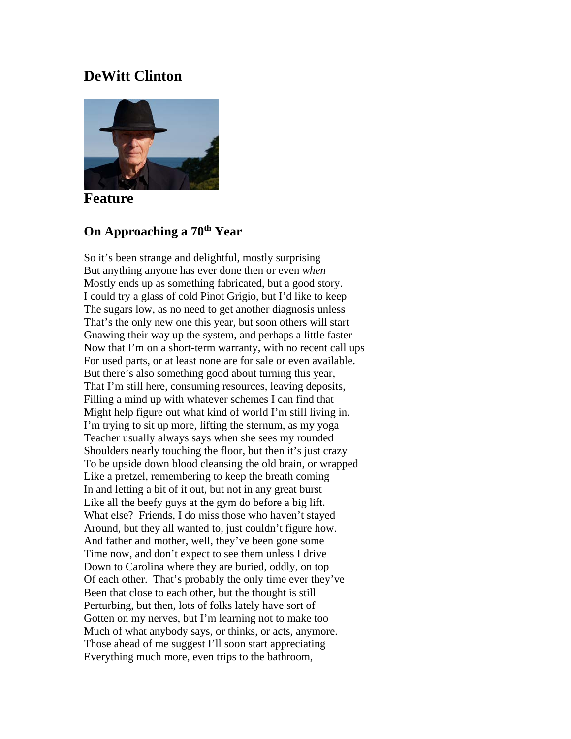# **DeWitt Clinton**



**Feature**

# **On Approaching a 70th Year**

So it's been strange and delightful, mostly surprising But anything anyone has ever done then or even *when* Mostly ends up as something fabricated, but a good story. I could try a glass of cold Pinot Grigio, but I'd like to keep The sugars low, as no need to get another diagnosis unless That's the only new one this year, but soon others will start Gnawing their way up the system, and perhaps a little faster Now that I'm on a short-term warranty, with no recent call ups For used parts, or at least none are for sale or even available. But there's also something good about turning this year, That I'm still here, consuming resources, leaving deposits, Filling a mind up with whatever schemes I can find that Might help figure out what kind of world I'm still living in. I'm trying to sit up more, lifting the sternum, as my yoga Teacher usually always says when she sees my rounded Shoulders nearly touching the floor, but then it's just crazy To be upside down blood cleansing the old brain, or wrapped Like a pretzel, remembering to keep the breath coming In and letting a bit of it out, but not in any great burst Like all the beefy guys at the gym do before a big lift. What else? Friends, I do miss those who haven't stayed Around, but they all wanted to, just couldn't figure how. And father and mother, well, they've been gone some Time now, and don't expect to see them unless I drive Down to Carolina where they are buried, oddly, on top Of each other. That's probably the only time ever they've Been that close to each other, but the thought is still Perturbing, but then, lots of folks lately have sort of Gotten on my nerves, but I'm learning not to make too Much of what anybody says, or thinks, or acts, anymore. Those ahead of me suggest I'll soon start appreciating Everything much more, even trips to the bathroom,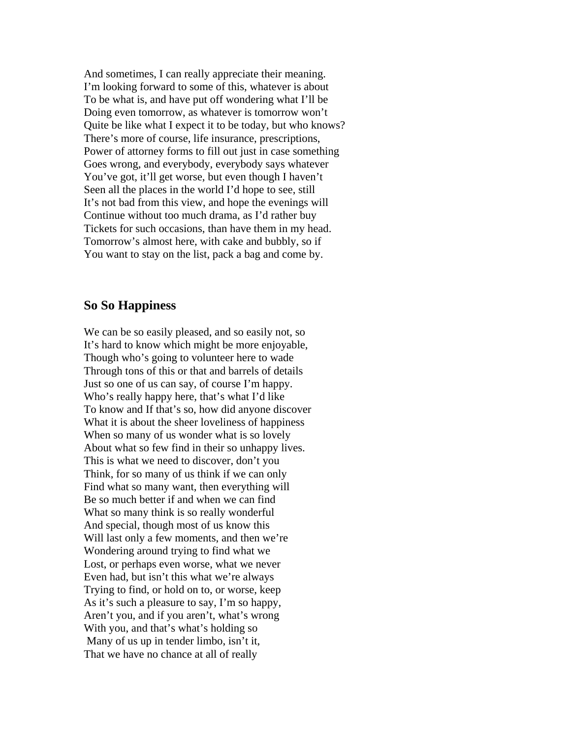And sometimes, I can really appreciate their meaning. I'm looking forward to some of this, whatever is about To be what is, and have put off wondering what I'll be Doing even tomorrow, as whatever is tomorrow won't Quite be like what I expect it to be today, but who knows? There's more of course, life insurance, prescriptions, Power of attorney forms to fill out just in case something Goes wrong, and everybody, everybody says whatever You've got, it'll get worse, but even though I haven't Seen all the places in the world I'd hope to see, still It's not bad from this view, and hope the evenings will Continue without too much drama, as I'd rather buy Tickets for such occasions, than have them in my head. Tomorrow's almost here, with cake and bubbly, so if You want to stay on the list, pack a bag and come by.

#### **So So Happiness**

We can be so easily pleased, and so easily not, so It's hard to know which might be more enjoyable, Though who's going to volunteer here to wade Through tons of this or that and barrels of details Just so one of us can say, of course I'm happy. Who's really happy here, that's what I'd like To know and If that's so, how did anyone discover What it is about the sheer loveliness of happiness When so many of us wonder what is so lovely About what so few find in their so unhappy lives. This is what we need to discover, don't you Think, for so many of us think if we can only Find what so many want, then everything will Be so much better if and when we can find What so many think is so really wonderful And special, though most of us know this Will last only a few moments, and then we're Wondering around trying to find what we Lost, or perhaps even worse, what we never Even had, but isn't this what we're always Trying to find, or hold on to, or worse, keep As it's such a pleasure to say, I'm so happy, Aren't you, and if you aren't, what's wrong With you, and that's what's holding so Many of us up in tender limbo, isn't it, That we have no chance at all of really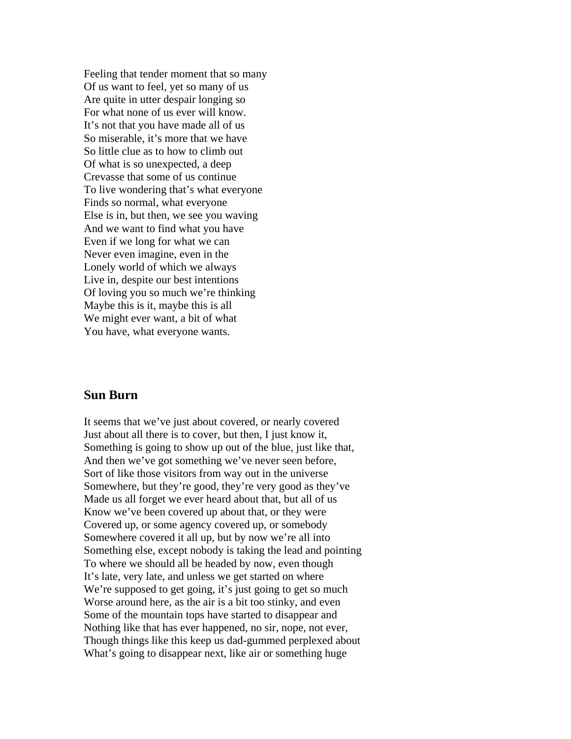Feeling that tender moment that so many Of us want to feel, yet so many of us Are quite in utter despair longing so For what none of us ever will know. It's not that you have made all of us So miserable, it's more that we have So little clue as to how to climb out Of what is so unexpected, a deep Crevasse that some of us continue To live wondering that's what everyone Finds so normal, what everyone Else is in, but then, we see you waving And we want to find what you have Even if we long for what we can Never even imagine, even in the Lonely world of which we always Live in, despite our best intentions Of loving you so much we're thinking Maybe this is it, maybe this is all We might ever want, a bit of what You have, what everyone wants.

# **Sun Burn**

It seems that we've just about covered, or nearly covered Just about all there is to cover, but then, I just know it, Something is going to show up out of the blue, just like that, And then we've got something we've never seen before, Sort of like those visitors from way out in the universe Somewhere, but they're good, they're very good as they've Made us all forget we ever heard about that, but all of us Know we've been covered up about that, or they were Covered up, or some agency covered up, or somebody Somewhere covered it all up, but by now we're all into Something else, except nobody is taking the lead and pointing To where we should all be headed by now, even though It's late, very late, and unless we get started on where We're supposed to get going, it's just going to get so much Worse around here, as the air is a bit too stinky, and even Some of the mountain tops have started to disappear and Nothing like that has ever happened, no sir, nope, not ever, Though things like this keep us dad-gummed perplexed about What's going to disappear next, like air or something huge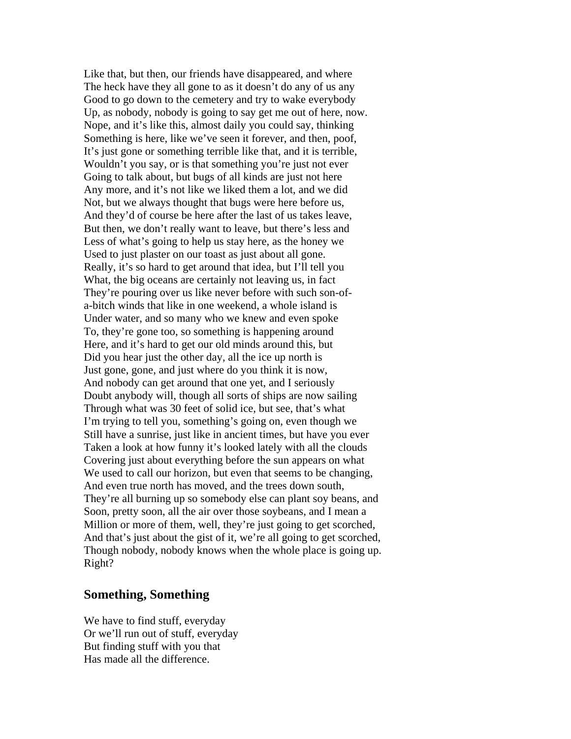Like that, but then, our friends have disappeared, and where The heck have they all gone to as it doesn't do any of us any Good to go down to the cemetery and try to wake everybody Up, as nobody, nobody is going to say get me out of here, now. Nope, and it's like this, almost daily you could say, thinking Something is here, like we've seen it forever, and then, poof, It's just gone or something terrible like that, and it is terrible, Wouldn't you say, or is that something you're just not ever Going to talk about, but bugs of all kinds are just not here Any more, and it's not like we liked them a lot, and we did Not, but we always thought that bugs were here before us, And they'd of course be here after the last of us takes leave, But then, we don't really want to leave, but there's less and Less of what's going to help us stay here, as the honey we Used to just plaster on our toast as just about all gone. Really, it's so hard to get around that idea, but I'll tell you What, the big oceans are certainly not leaving us, in fact They're pouring over us like never before with such son-ofa-bitch winds that like in one weekend, a whole island is Under water, and so many who we knew and even spoke To, they're gone too, so something is happening around Here, and it's hard to get our old minds around this, but Did you hear just the other day, all the ice up north is Just gone, gone, and just where do you think it is now, And nobody can get around that one yet, and I seriously Doubt anybody will, though all sorts of ships are now sailing Through what was 30 feet of solid ice, but see, that's what I'm trying to tell you, something's going on, even though we Still have a sunrise, just like in ancient times, but have you ever Taken a look at how funny it's looked lately with all the clouds Covering just about everything before the sun appears on what We used to call our horizon, but even that seems to be changing, And even true north has moved, and the trees down south, They're all burning up so somebody else can plant soy beans, and Soon, pretty soon, all the air over those soybeans, and I mean a Million or more of them, well, they're just going to get scorched, And that's just about the gist of it, we're all going to get scorched, Though nobody, nobody knows when the whole place is going up. Right?

## **Something, Something**

We have to find stuff, everyday Or we'll run out of stuff, everyday But finding stuff with you that Has made all the difference.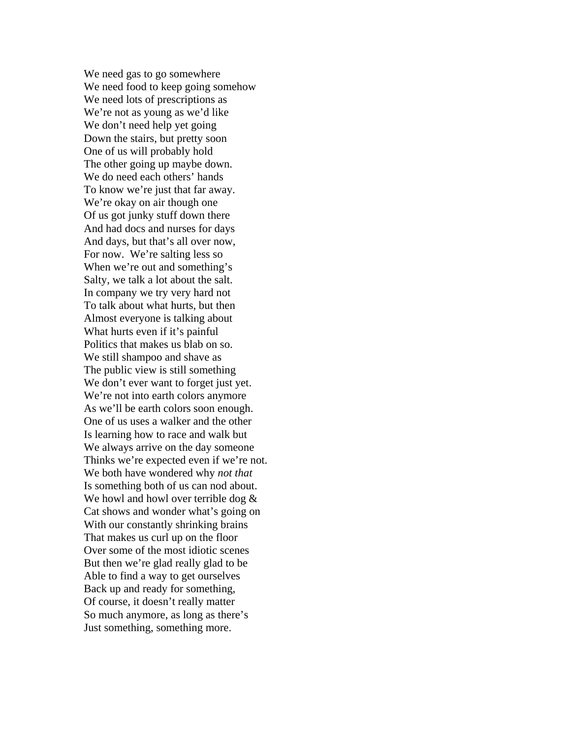We need gas to go somewhere We need food to keep going somehow We need lots of prescriptions as We're not as young as we'd like We don't need help yet going Down the stairs, but pretty soon One of us will probably hold The other going up maybe down. We do need each others' hands To know we're just that far away. We're okay on air though one Of us got junky stuff down there And had docs and nurses for days And days, but that's all over now, For now. We're salting less so When we're out and something's Salty, we talk a lot about the salt. In company we try very hard not To talk about what hurts, but then Almost everyone is talking about What hurts even if it's painful Politics that makes us blab on so. We still shampoo and shave as The public view is still something We don't ever want to forget just yet. We're not into earth colors anymore As we'll be earth colors soon enough. One of us uses a walker and the other Is learning how to race and walk but We always arrive on the day someone Thinks we're expected even if we're not. We both have wondered why *not that* Is something both of us can nod about. We howl and howl over terrible dog  $\&$ Cat shows and wonder what's going on With our constantly shrinking brains That makes us curl up on the floor Over some of the most idiotic scenes But then we're glad really glad to be Able to find a way to get ourselves Back up and ready for something, Of course, it doesn't really matter So much anymore, as long as there's Just something, something more.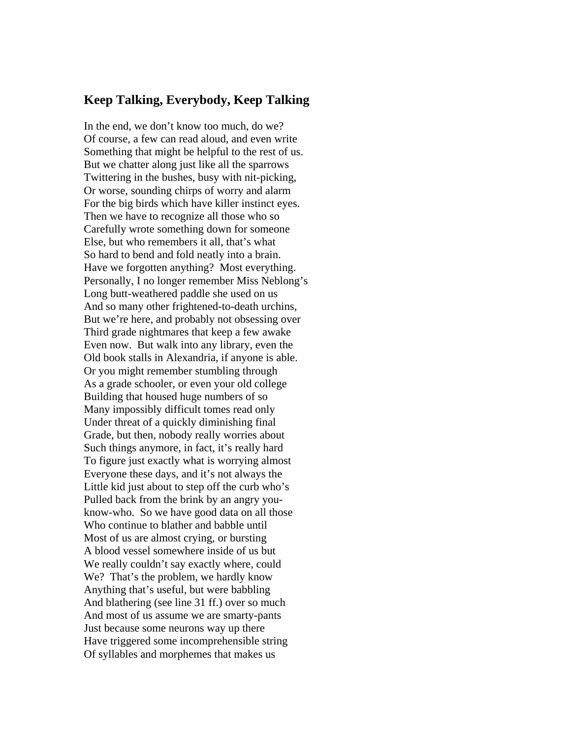### **Keep Talking, Everybody, Keep Talking**

In the end, we don't know too much, do we? Of course, a few can read aloud, and even write Something that might be helpful to the rest of us. But we chatter along just like all the sparrows Twittering in the bushes, busy with nit-picking, Or worse, sounding chirps of worry and alarm For the big birds which have killer instinct eyes. Then we have to recognize all those who so Carefully wrote something down for someone Else, but who remembers it all, that's what So hard to bend and fold neatly into a brain. Have we forgotten anything? Most everything. Personally, I no longer remember Miss Neblong's Long butt-weathered paddle she used on us And so many other frightened-to-death urchins, But we're here, and probably not obsessing over Third grade nightmares that keep a few awake Even now. But walk into any library, even the Old book stalls in Alexandria, if anyone is able. Or you might remember stumbling through As a grade schooler, or even your old college Building that housed huge numbers of so Many impossibly difficult tomes read only Under threat of a quickly diminishing final Grade, but then, nobody really worries about Such things anymore, in fact, it's really hard To figure just exactly what is worrying almost Everyone these days, and it's not always the Little kid just about to step off the curb who's Pulled back from the brink by an angry youknow-who. So we have good data on all those Who continue to blather and babble until Most of us are almost crying, or bursting A blood vessel somewhere inside of us but We really couldn't say exactly where, could We? That's the problem, we hardly know Anything that's useful, but were babbling And blathering (see line 31 ff.) over so much And most of us assume we are smarty-pants Just because some neurons way up there Have triggered some incomprehensible string Of syllables and morphemes that makes us